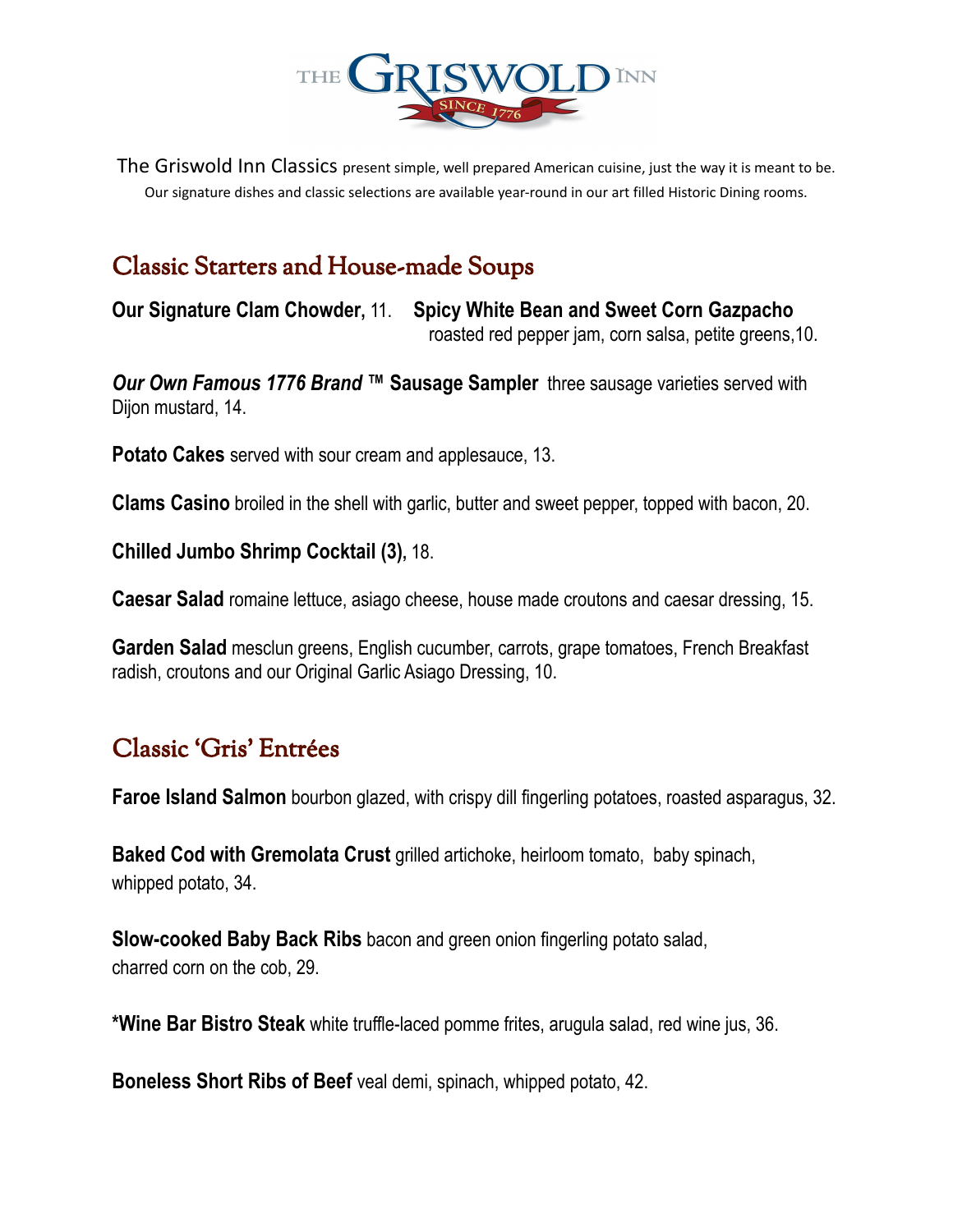

The Griswold Inn Classics present simple, well prepared American cuisine, just the way it is meant to be. Our signature dishes and classic selections are available year-round in our art filled Historic Dining rooms.

# Classic Starters and House-made Soups

**Our Signature Clam Chowder,** 11. **Spicy White Bean and Sweet Corn Gazpacho** roasted red pepper jam, corn salsa, petite greens,10.

*Our Own Famous 1776 Brand* **™ Sausage Sampler** three sausage varieties served with Dijon mustard, 14.

**Potato Cakes** served with sour cream and applesauce, 13.

**Clams Casino** broiled in the shell with garlic, butter and sweet pepper, topped with bacon, 20.

**Chilled Jumbo Shrimp Cocktail (3),** 18.

**Caesar Salad** romaine lettuce, asiago cheese, house made croutons and caesar dressing, 15.

**Garden Salad** mesclun greens, English cucumber, carrots, grape tomatoes, French Breakfast radish, croutons and our Original Garlic Asiago Dressing, 10.

# Classic 'Gris' Entrées

**Faroe Island Salmon** bourbon glazed, with crispy dill fingerling potatoes, roasted asparagus, 32.

**Baked Cod with Gremolata Crust** grilled artichoke, heirloom tomato, baby spinach, whipped potato, 34.

**Slow-cooked Baby Back Ribs** bacon and green onion fingerling potato salad, charred corn on the cob, 29.

**\*Wine Bar Bistro Steak** white truffle-laced pomme frites, arugula salad, red wine jus, 36.

**Boneless Short Ribs of Beef** veal demi, spinach, whipped potato, 42.